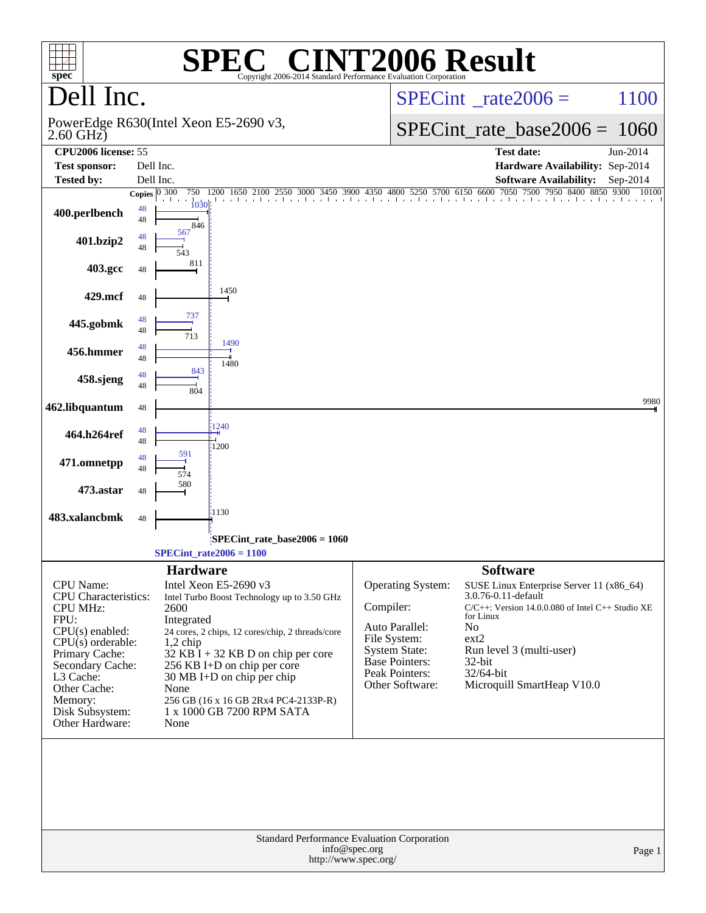| $spec^*$                                                                                                                                                         |          | $\bigcap$<br>Н,<br>Copyright 2006-2014 Standard Performance Evaluation Corporation                                                                                                                                                                                        | <b>INT2006 Result</b>                                                                                                        |                                                                                                                                                                                                                    |
|------------------------------------------------------------------------------------------------------------------------------------------------------------------|----------|---------------------------------------------------------------------------------------------------------------------------------------------------------------------------------------------------------------------------------------------------------------------------|------------------------------------------------------------------------------------------------------------------------------|--------------------------------------------------------------------------------------------------------------------------------------------------------------------------------------------------------------------|
| Dell Inc.                                                                                                                                                        |          |                                                                                                                                                                                                                                                                           |                                                                                                                              | 1100<br>$SPECint^{\circ}$ rate 2006 =                                                                                                                                                                              |
| $2.60$ GHz $)$                                                                                                                                                   |          | PowerEdge R630(Intel Xeon E5-2690 v3,                                                                                                                                                                                                                                     |                                                                                                                              | $SPECint_rate_base2006 = 1060$                                                                                                                                                                                     |
| CPU2006 license: 55<br><b>Test sponsor:</b>                                                                                                                      |          | Dell Inc.                                                                                                                                                                                                                                                                 |                                                                                                                              | <b>Test date:</b><br>Jun-2014<br>Hardware Availability: Sep-2014                                                                                                                                                   |
| <b>Tested by:</b>                                                                                                                                                |          | Dell Inc.                                                                                                                                                                                                                                                                 |                                                                                                                              | <b>Software Availability:</b><br>$Sep-2014$                                                                                                                                                                        |
|                                                                                                                                                                  |          | Copies $\overline{0\,300}$<br>750<br>1650 2100<br>2550<br>1200                                                                                                                                                                                                            |                                                                                                                              | 3000 3450 3900 4350 4800 5250 5700 6150 6600 7050 7500 7950 8400 8850 9300<br>10100<br>described the con-                                                                                                          |
| 400.perlbench                                                                                                                                                    | 48<br>48 | 1030<br>846                                                                                                                                                                                                                                                               |                                                                                                                              |                                                                                                                                                                                                                    |
| 401.bzip2                                                                                                                                                        | 48<br>48 | 567<br>543                                                                                                                                                                                                                                                                |                                                                                                                              |                                                                                                                                                                                                                    |
| 403.gcc                                                                                                                                                          | 48       | 811                                                                                                                                                                                                                                                                       |                                                                                                                              |                                                                                                                                                                                                                    |
| 429.mcf                                                                                                                                                          | 48       | 1450                                                                                                                                                                                                                                                                      |                                                                                                                              |                                                                                                                                                                                                                    |
| 445.gobmk                                                                                                                                                        | 48<br>48 | 737<br>713<br>1490                                                                                                                                                                                                                                                        |                                                                                                                              |                                                                                                                                                                                                                    |
| 456.hmmer                                                                                                                                                        | 48<br>48 | 1480<br>843                                                                                                                                                                                                                                                               |                                                                                                                              |                                                                                                                                                                                                                    |
| 458.sjeng                                                                                                                                                        | 48<br>48 | 804                                                                                                                                                                                                                                                                       |                                                                                                                              |                                                                                                                                                                                                                    |
| 462.libquantum                                                                                                                                                   | 48       | 1240                                                                                                                                                                                                                                                                      |                                                                                                                              | 9980                                                                                                                                                                                                               |
| 464.h264ref                                                                                                                                                      | 48<br>48 | 1200<br>591                                                                                                                                                                                                                                                               |                                                                                                                              |                                                                                                                                                                                                                    |
| 471.omnetpp                                                                                                                                                      | 48<br>48 | 574<br>580                                                                                                                                                                                                                                                                |                                                                                                                              |                                                                                                                                                                                                                    |
| 473.astar                                                                                                                                                        | 48       | 1130                                                                                                                                                                                                                                                                      |                                                                                                                              |                                                                                                                                                                                                                    |
| 483.xalancbmk                                                                                                                                                    | 48       | SPECint_rate_base2006 = 1060                                                                                                                                                                                                                                              |                                                                                                                              |                                                                                                                                                                                                                    |
|                                                                                                                                                                  |          | $SPECint_rate2006 = 1100$                                                                                                                                                                                                                                                 |                                                                                                                              |                                                                                                                                                                                                                    |
|                                                                                                                                                                  |          | <b>Hardware</b>                                                                                                                                                                                                                                                           |                                                                                                                              | <b>Software</b>                                                                                                                                                                                                    |
| CPU Name:<br><b>CPU</b> Characteristics:<br><b>CPU MHz:</b><br>FPU:<br>CPU(s) enabled:<br>$CPU(s)$ orderable:<br>Primary Cache:<br>Secondary Cache:<br>L3 Cache: |          | Intel Xeon E5-2690 v3<br>Intel Turbo Boost Technology up to 3.50 GHz<br>2600<br>Integrated<br>24 cores, 2 chips, 12 cores/chip, 2 threads/core<br>$1,2$ chip<br>32 KB I + 32 KB D on chip per core<br>256 KB I+D on chip per core<br>$30 \text{ MB I+D}$ on chip per chip | Operating System:<br>Compiler:<br>Auto Parallel:<br>File System:<br>System State:<br><b>Base Pointers:</b><br>Peak Pointers: | SUSE Linux Enterprise Server 11 (x86_64)<br>3.0.76-0.11-default<br>$C/C++$ : Version 14.0.0.080 of Intel $C++$ Studio XE<br>for Linux<br>N <sub>o</sub><br>ext2<br>Run level 3 (multi-user)<br>32-bit<br>32/64-bit |
| Other Cache:<br>Memory:<br>Disk Subsystem:<br>Other Hardware:                                                                                                    |          | None<br>256 GB (16 x 16 GB 2Rx4 PC4-2133P-R)<br>1 x 1000 GB 7200 RPM SATA<br>None                                                                                                                                                                                         | Other Software:                                                                                                              | Microquill SmartHeap V10.0                                                                                                                                                                                         |
|                                                                                                                                                                  |          | Standard Performance Evaluation Corporation<br>info@spec.org<br>http://www.spec.org/                                                                                                                                                                                      |                                                                                                                              | Page 1                                                                                                                                                                                                             |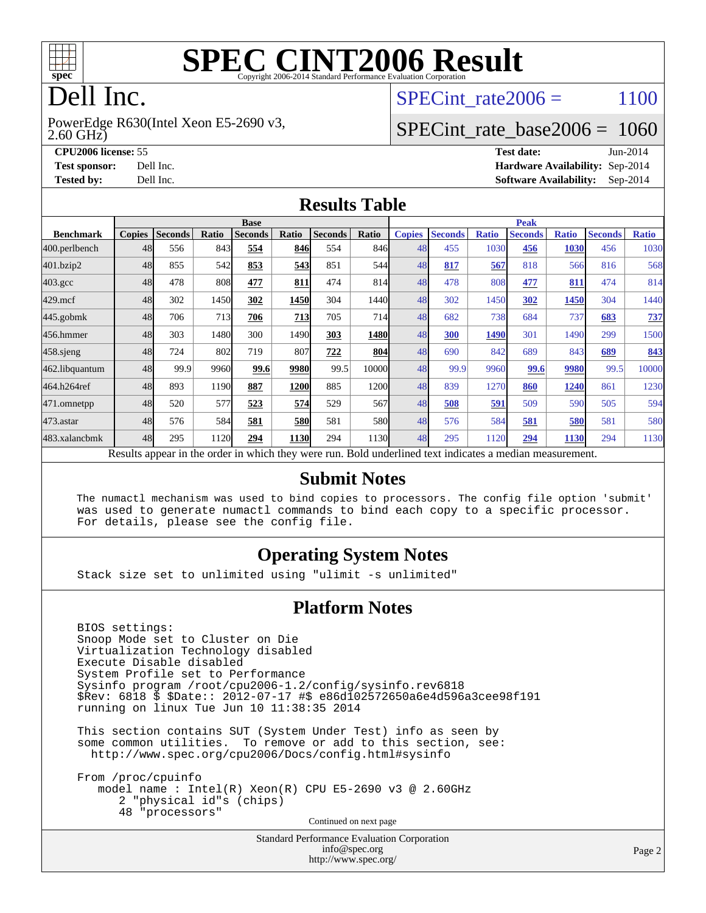

# Dell Inc.

2.60 GHz) PowerEdge R630(Intel Xeon E5-2690 v3, SPECint rate  $2006 = 1100$ 

#### [SPECint\\_rate\\_base2006 =](http://www.spec.org/auto/cpu2006/Docs/result-fields.html#SPECintratebase2006) 1060

**[CPU2006 license:](http://www.spec.org/auto/cpu2006/Docs/result-fields.html#CPU2006license)** 55 **[Test date:](http://www.spec.org/auto/cpu2006/Docs/result-fields.html#Testdate)** Jun-2014 **[Test sponsor:](http://www.spec.org/auto/cpu2006/Docs/result-fields.html#Testsponsor)** Dell Inc. **[Hardware Availability:](http://www.spec.org/auto/cpu2006/Docs/result-fields.html#HardwareAvailability)** Sep-2014 **[Tested by:](http://www.spec.org/auto/cpu2006/Docs/result-fields.html#Testedby)** Dell Inc. **[Software Availability:](http://www.spec.org/auto/cpu2006/Docs/result-fields.html#SoftwareAvailability)** Sep-2014

#### **[Results Table](http://www.spec.org/auto/cpu2006/Docs/result-fields.html#ResultsTable)**

|                                                                                                          | <b>Base</b>   |                |       |                |             |                |        | <b>Peak</b>   |                |              |                |              |                |              |
|----------------------------------------------------------------------------------------------------------|---------------|----------------|-------|----------------|-------------|----------------|--------|---------------|----------------|--------------|----------------|--------------|----------------|--------------|
| <b>Benchmark</b>                                                                                         | <b>Copies</b> | <b>Seconds</b> | Ratio | <b>Seconds</b> | Ratio       | <b>Seconds</b> | Ratio  | <b>Copies</b> | <b>Seconds</b> | <b>Ratio</b> | <b>Seconds</b> | <b>Ratio</b> | <b>Seconds</b> | <b>Ratio</b> |
| 400.perlbench                                                                                            | 48            | 556            | 843   | 554            | 846         | 554            | 846I   | 48            | 455            | 1030         | 456            | <b>1030</b>  | 456            | 1030         |
| 401.bzip2                                                                                                | 48            | 855            | 542   | 853            | 543         | 851            | 544    | 48            | 817            | 567          | 818            | 566          | 816            | 568          |
| $403.\text{gcc}$                                                                                         | 48            | 478            | 808   | 477            | 811         | 474            | 814    | 48            | 478            | 808          | 477            | 811          | 474            | 814          |
| $429$ .mcf                                                                                               | 48            | 302            | 1450  | 302            | 1450        | 304            | 1440   | 48            | 302            | 1450         | 302            | 1450         | 304            | 1440         |
| $445$ .gobmk                                                                                             | 48            | 706            | 713   | 706            | 713         | 705            | 714    | 48            | 682            | 738          | 684            | 737          | 683            | <u>737</u>   |
| 456.hmmer                                                                                                | 48            | 303            | 1480  | 300            | 1490        | 303            | 1480   | 48            | 300            | 1490         | 301            | 1490         | 299            | 1500         |
| $458$ .sjeng                                                                                             | 48            | 724            | 802   | 719            | 807         | 722            | 804    | 48            | 690            | 842          | 689            | 843          | 689            | 843          |
| 462.libquantum                                                                                           | 48            | 99.9           | 9960  | 99.6           | 9980        | 99.5           | 10000l | 48            | 99.9           | 9960         | 99.6           | 9980         | 99.5           | 10000        |
| 464.h264ref                                                                                              | 48            | 893            | 1190  | 887            | 1200        | 885            | 1200   | 48            | 839            | 1270         | 860            | 1240         | 861            | 1230         |
| 471.omnetpp                                                                                              | 48            | 520            | 577   | 523            | 574         | 529            | 567    | 48            | 508            | 591          | 509            | 590          | 505            | 594          |
| 473.astar                                                                                                | 48            | 576            | 584   | 581            | <b>580</b>  | 581            | 580    | 48            | 576            | 584          | 581            | 580          | 581            | 580          |
| 483.xalancbmk                                                                                            | 48            | 295            | 1120  | 294            | <b>1130</b> | 294            | 1130   | 48            | 295            | 1120         | 294            | 1130         | 294            | 1130         |
| Results appear in the order in which they were run. Bold underlined text indicates a median measurement. |               |                |       |                |             |                |        |               |                |              |                |              |                |              |

#### **[Submit Notes](http://www.spec.org/auto/cpu2006/Docs/result-fields.html#SubmitNotes)**

 The numactl mechanism was used to bind copies to processors. The config file option 'submit' was used to generate numactl commands to bind each copy to a specific processor. For details, please see the config file.

#### **[Operating System Notes](http://www.spec.org/auto/cpu2006/Docs/result-fields.html#OperatingSystemNotes)**

Stack size set to unlimited using "ulimit -s unlimited"

#### **[Platform Notes](http://www.spec.org/auto/cpu2006/Docs/result-fields.html#PlatformNotes)**

 BIOS settings: Snoop Mode set to Cluster on Die Virtualization Technology disabled Execute Disable disabled System Profile set to Performance Sysinfo program /root/cpu2006-1.2/config/sysinfo.rev6818 \$Rev: 6818 \$ \$Date:: 2012-07-17 #\$ e86d102572650a6e4d596a3cee98f191 running on linux Tue Jun 10 11:38:35 2014

 This section contains SUT (System Under Test) info as seen by some common utilities. To remove or add to this section, see: <http://www.spec.org/cpu2006/Docs/config.html#sysinfo>

 From /proc/cpuinfo model name : Intel(R) Xeon(R) CPU E5-2690 v3 @ 2.60GHz 2 "physical id"s (chips) 48 "processors" Continued on next page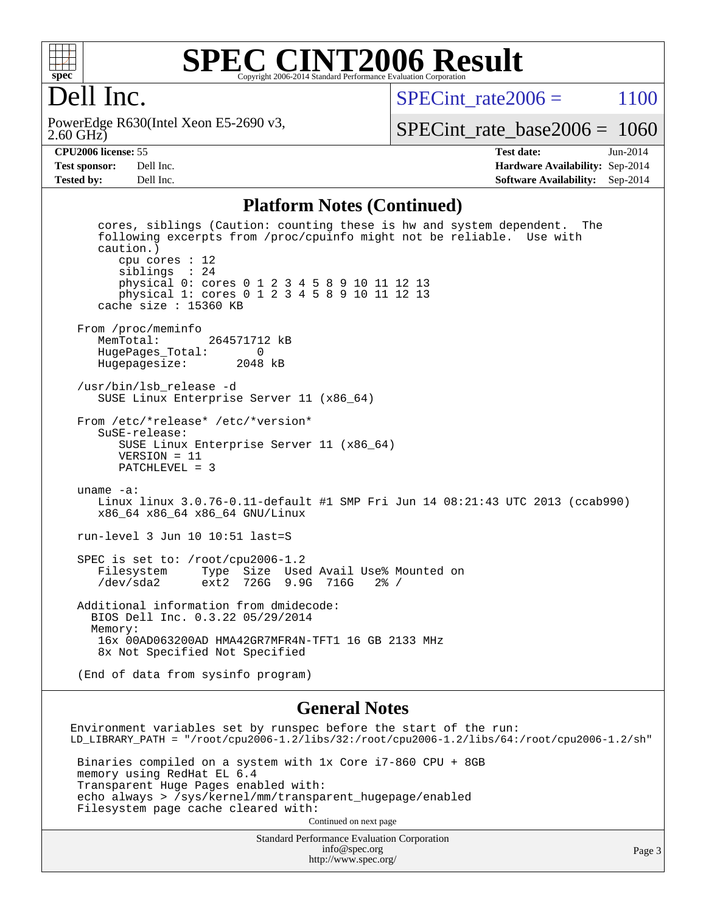

#### **[SPEC CINT2006 Result](http://www.spec.org/auto/cpu2006/Docs/result-fields.html#SPECCINT2006Result)** Copyright 2006-2014 Standard Performance Evaluation Corporation

### Dell Inc.

2.60 GHz) PowerEdge R630(Intel Xeon E5-2690 v3, SPECint rate  $2006 = 1100$ 

[SPECint\\_rate\\_base2006 =](http://www.spec.org/auto/cpu2006/Docs/result-fields.html#SPECintratebase2006) 1060

**[CPU2006 license:](http://www.spec.org/auto/cpu2006/Docs/result-fields.html#CPU2006license)** 55 **[Test date:](http://www.spec.org/auto/cpu2006/Docs/result-fields.html#Testdate)** Jun-2014 **[Test sponsor:](http://www.spec.org/auto/cpu2006/Docs/result-fields.html#Testsponsor)** Dell Inc. **[Hardware Availability:](http://www.spec.org/auto/cpu2006/Docs/result-fields.html#HardwareAvailability)** Sep-2014 **[Tested by:](http://www.spec.org/auto/cpu2006/Docs/result-fields.html#Testedby)** Dell Inc. **[Software Availability:](http://www.spec.org/auto/cpu2006/Docs/result-fields.html#SoftwareAvailability)** Sep-2014

#### **[Platform Notes \(Continued\)](http://www.spec.org/auto/cpu2006/Docs/result-fields.html#PlatformNotes)**

 cores, siblings (Caution: counting these is hw and system dependent. The following excerpts from /proc/cpuinfo might not be reliable. Use with caution.) cpu cores : 12 siblings : 24 physical 0: cores 0 1 2 3 4 5 8 9 10 11 12 13 physical 1: cores 0 1 2 3 4 5 8 9 10 11 12 13 cache size : 15360 KB From /proc/meminfo<br>MemTotal: 264571712 kB HugePages\_Total: 0 Hugepagesize: 2048 kB /usr/bin/lsb\_release -d SUSE Linux Enterprise Server 11 (x86\_64) From /etc/\*release\* /etc/\*version\* SuSE-release: SUSE Linux Enterprise Server 11 (x86\_64) VERSION = 11 PATCHLEVEL = 3 uname -a: Linux linux 3.0.76-0.11-default #1 SMP Fri Jun 14 08:21:43 UTC 2013 (ccab990) x86\_64 x86\_64 x86\_64 GNU/Linux run-level 3 Jun 10 10:51 last=S SPEC is set to: /root/cpu2006-1.2 Filesystem Type Size Used Avail Use% Mounted on /dev/sda2 ext2 726G 9.9G 716G 2% / Additional information from dmidecode: BIOS Dell Inc. 0.3.22 05/29/2014 Memory: 16x 00AD063200AD HMA42GR7MFR4N-TFT1 16 GB 2133 MHz 8x Not Specified Not Specified (End of data from sysinfo program)

#### **[General Notes](http://www.spec.org/auto/cpu2006/Docs/result-fields.html#GeneralNotes)**

Environment variables set by runspec before the start of the run: LD\_LIBRARY\_PATH = "/root/cpu2006-1.2/libs/32:/root/cpu2006-1.2/libs/64:/root/cpu2006-1.2/sh" Binaries compiled on a system with 1x Core i7-860 CPU + 8GB memory using RedHat EL 6.4 Transparent Huge Pages enabled with: echo always > /sys/kernel/mm/transparent\_hugepage/enabled Filesystem page cache cleared with: Continued on next page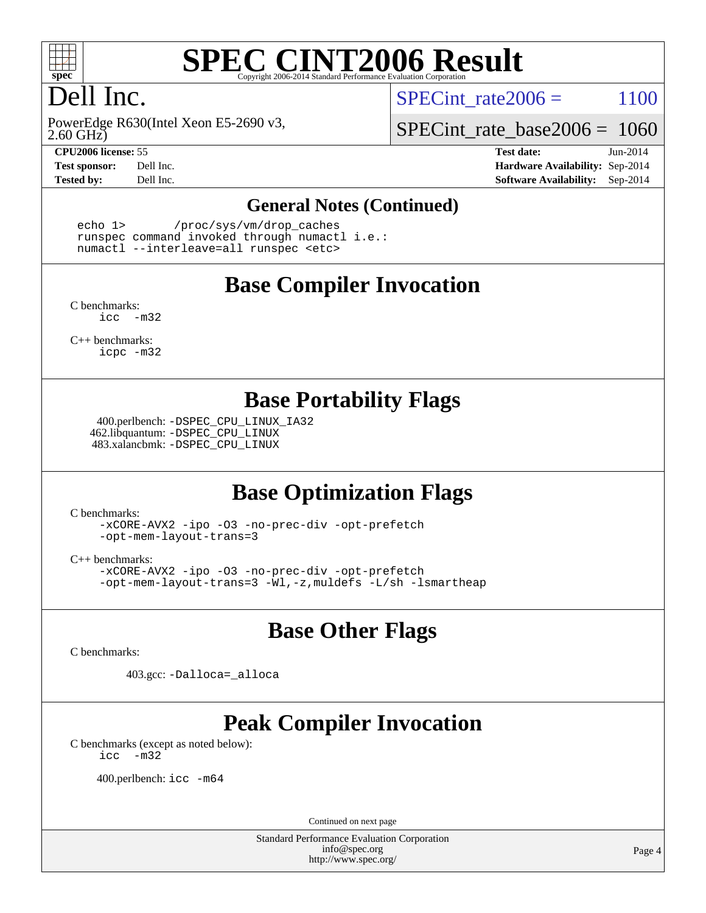

# Dell Inc.

2.60 GHz) PowerEdge R630(Intel Xeon E5-2690 v3,

SPECint rate  $2006 = 1100$ 

[SPECint\\_rate\\_base2006 =](http://www.spec.org/auto/cpu2006/Docs/result-fields.html#SPECintratebase2006) 1060

**[CPU2006 license:](http://www.spec.org/auto/cpu2006/Docs/result-fields.html#CPU2006license)** 55 **[Test date:](http://www.spec.org/auto/cpu2006/Docs/result-fields.html#Testdate)** Jun-2014 **[Test sponsor:](http://www.spec.org/auto/cpu2006/Docs/result-fields.html#Testsponsor)** Dell Inc. **[Hardware Availability:](http://www.spec.org/auto/cpu2006/Docs/result-fields.html#HardwareAvailability)** Sep-2014 **[Tested by:](http://www.spec.org/auto/cpu2006/Docs/result-fields.html#Testedby)** Dell Inc. **[Software Availability:](http://www.spec.org/auto/cpu2006/Docs/result-fields.html#SoftwareAvailability)** Sep-2014

#### **[General Notes \(Continued\)](http://www.spec.org/auto/cpu2006/Docs/result-fields.html#GeneralNotes)**

 echo 1> /proc/sys/vm/drop\_caches runspec command invoked through numactl i.e.: numactl --interleave=all runspec <etc>

#### **[Base Compiler Invocation](http://www.spec.org/auto/cpu2006/Docs/result-fields.html#BaseCompilerInvocation)**

[C benchmarks](http://www.spec.org/auto/cpu2006/Docs/result-fields.html#Cbenchmarks): [icc -m32](http://www.spec.org/cpu2006/results/res2014q3/cpu2006-20140909-31340.flags.html#user_CCbase_intel_icc_5ff4a39e364c98233615fdd38438c6f2)

[C++ benchmarks:](http://www.spec.org/auto/cpu2006/Docs/result-fields.html#CXXbenchmarks) [icpc -m32](http://www.spec.org/cpu2006/results/res2014q3/cpu2006-20140909-31340.flags.html#user_CXXbase_intel_icpc_4e5a5ef1a53fd332b3c49e69c3330699)

#### **[Base Portability Flags](http://www.spec.org/auto/cpu2006/Docs/result-fields.html#BasePortabilityFlags)**

 400.perlbench: [-DSPEC\\_CPU\\_LINUX\\_IA32](http://www.spec.org/cpu2006/results/res2014q3/cpu2006-20140909-31340.flags.html#b400.perlbench_baseCPORTABILITY_DSPEC_CPU_LINUX_IA32) 462.libquantum: [-DSPEC\\_CPU\\_LINUX](http://www.spec.org/cpu2006/results/res2014q3/cpu2006-20140909-31340.flags.html#b462.libquantum_baseCPORTABILITY_DSPEC_CPU_LINUX) 483.xalancbmk: [-DSPEC\\_CPU\\_LINUX](http://www.spec.org/cpu2006/results/res2014q3/cpu2006-20140909-31340.flags.html#b483.xalancbmk_baseCXXPORTABILITY_DSPEC_CPU_LINUX)

### **[Base Optimization Flags](http://www.spec.org/auto/cpu2006/Docs/result-fields.html#BaseOptimizationFlags)**

[C benchmarks](http://www.spec.org/auto/cpu2006/Docs/result-fields.html#Cbenchmarks):

[-xCORE-AVX2](http://www.spec.org/cpu2006/results/res2014q3/cpu2006-20140909-31340.flags.html#user_CCbase_f-xAVX2_5f5fc0cbe2c9f62c816d3e45806c70d7) [-ipo](http://www.spec.org/cpu2006/results/res2014q3/cpu2006-20140909-31340.flags.html#user_CCbase_f-ipo) [-O3](http://www.spec.org/cpu2006/results/res2014q3/cpu2006-20140909-31340.flags.html#user_CCbase_f-O3) [-no-prec-div](http://www.spec.org/cpu2006/results/res2014q3/cpu2006-20140909-31340.flags.html#user_CCbase_f-no-prec-div) [-opt-prefetch](http://www.spec.org/cpu2006/results/res2014q3/cpu2006-20140909-31340.flags.html#user_CCbase_f-opt-prefetch) [-opt-mem-layout-trans=3](http://www.spec.org/cpu2006/results/res2014q3/cpu2006-20140909-31340.flags.html#user_CCbase_f-opt-mem-layout-trans_a7b82ad4bd7abf52556d4961a2ae94d5)

[C++ benchmarks:](http://www.spec.org/auto/cpu2006/Docs/result-fields.html#CXXbenchmarks)

[-xCORE-AVX2](http://www.spec.org/cpu2006/results/res2014q3/cpu2006-20140909-31340.flags.html#user_CXXbase_f-xAVX2_5f5fc0cbe2c9f62c816d3e45806c70d7) [-ipo](http://www.spec.org/cpu2006/results/res2014q3/cpu2006-20140909-31340.flags.html#user_CXXbase_f-ipo) [-O3](http://www.spec.org/cpu2006/results/res2014q3/cpu2006-20140909-31340.flags.html#user_CXXbase_f-O3) [-no-prec-div](http://www.spec.org/cpu2006/results/res2014q3/cpu2006-20140909-31340.flags.html#user_CXXbase_f-no-prec-div) [-opt-prefetch](http://www.spec.org/cpu2006/results/res2014q3/cpu2006-20140909-31340.flags.html#user_CXXbase_f-opt-prefetch) [-opt-mem-layout-trans=3](http://www.spec.org/cpu2006/results/res2014q3/cpu2006-20140909-31340.flags.html#user_CXXbase_f-opt-mem-layout-trans_a7b82ad4bd7abf52556d4961a2ae94d5) [-Wl,-z,muldefs](http://www.spec.org/cpu2006/results/res2014q3/cpu2006-20140909-31340.flags.html#user_CXXbase_link_force_multiple1_74079c344b956b9658436fd1b6dd3a8a) [-L/sh -lsmartheap](http://www.spec.org/cpu2006/results/res2014q3/cpu2006-20140909-31340.flags.html#user_CXXbase_SmartHeap_32f6c82aa1ed9c52345d30cf6e4a0499)

### **[Base Other Flags](http://www.spec.org/auto/cpu2006/Docs/result-fields.html#BaseOtherFlags)**

[C benchmarks](http://www.spec.org/auto/cpu2006/Docs/result-fields.html#Cbenchmarks):

403.gcc: [-Dalloca=\\_alloca](http://www.spec.org/cpu2006/results/res2014q3/cpu2006-20140909-31340.flags.html#b403.gcc_baseEXTRA_CFLAGS_Dalloca_be3056838c12de2578596ca5467af7f3)

# **[Peak Compiler Invocation](http://www.spec.org/auto/cpu2006/Docs/result-fields.html#PeakCompilerInvocation)**

[C benchmarks \(except as noted below\)](http://www.spec.org/auto/cpu2006/Docs/result-fields.html#Cbenchmarksexceptasnotedbelow): [icc -m32](http://www.spec.org/cpu2006/results/res2014q3/cpu2006-20140909-31340.flags.html#user_CCpeak_intel_icc_5ff4a39e364c98233615fdd38438c6f2)

400.perlbench: [icc -m64](http://www.spec.org/cpu2006/results/res2014q3/cpu2006-20140909-31340.flags.html#user_peakCCLD400_perlbench_intel_icc_64bit_bda6cc9af1fdbb0edc3795bac97ada53)

Continued on next page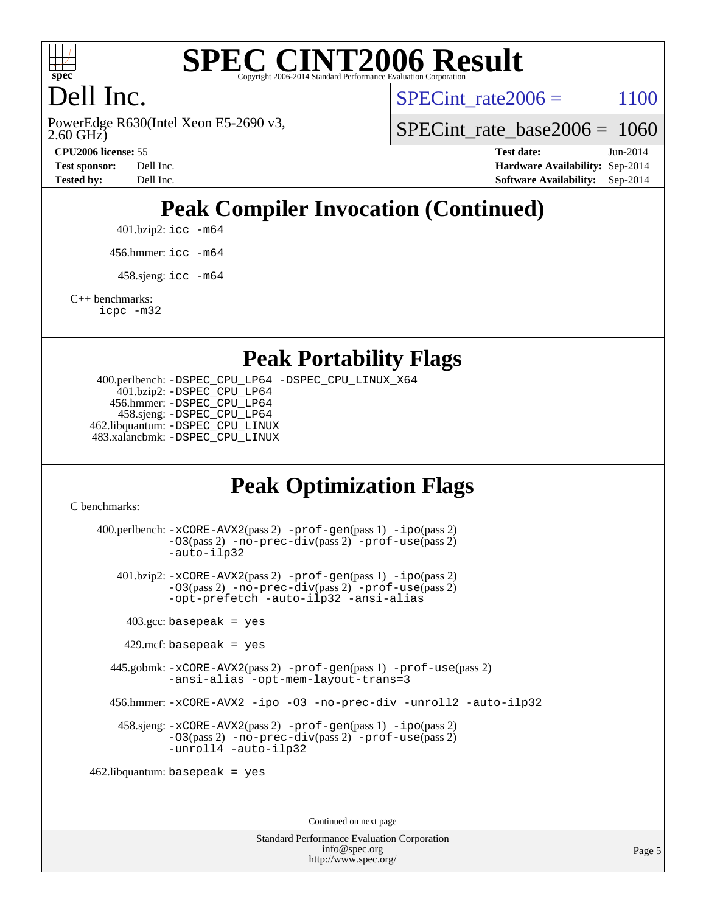

# Dell Inc.

2.60 GHz) PowerEdge R630(Intel Xeon E5-2690 v3, SPECint rate  $2006 = 1100$ 

[SPECint\\_rate\\_base2006 =](http://www.spec.org/auto/cpu2006/Docs/result-fields.html#SPECintratebase2006) 1060

**[CPU2006 license:](http://www.spec.org/auto/cpu2006/Docs/result-fields.html#CPU2006license)** 55 **[Test date:](http://www.spec.org/auto/cpu2006/Docs/result-fields.html#Testdate)** Jun-2014 **[Test sponsor:](http://www.spec.org/auto/cpu2006/Docs/result-fields.html#Testsponsor)** Dell Inc. **[Hardware Availability:](http://www.spec.org/auto/cpu2006/Docs/result-fields.html#HardwareAvailability)** Sep-2014 **[Tested by:](http://www.spec.org/auto/cpu2006/Docs/result-fields.html#Testedby)** Dell Inc. **[Software Availability:](http://www.spec.org/auto/cpu2006/Docs/result-fields.html#SoftwareAvailability)** Sep-2014

# **[Peak Compiler Invocation \(Continued\)](http://www.spec.org/auto/cpu2006/Docs/result-fields.html#PeakCompilerInvocation)**

401.bzip2: [icc -m64](http://www.spec.org/cpu2006/results/res2014q3/cpu2006-20140909-31340.flags.html#user_peakCCLD401_bzip2_intel_icc_64bit_bda6cc9af1fdbb0edc3795bac97ada53)

456.hmmer: [icc -m64](http://www.spec.org/cpu2006/results/res2014q3/cpu2006-20140909-31340.flags.html#user_peakCCLD456_hmmer_intel_icc_64bit_bda6cc9af1fdbb0edc3795bac97ada53)

 $458 \text{.}$ sjeng: icc  $-\text{m64}$ 

[C++ benchmarks:](http://www.spec.org/auto/cpu2006/Docs/result-fields.html#CXXbenchmarks)

[icpc -m32](http://www.spec.org/cpu2006/results/res2014q3/cpu2006-20140909-31340.flags.html#user_CXXpeak_intel_icpc_4e5a5ef1a53fd332b3c49e69c3330699)

#### **[Peak Portability Flags](http://www.spec.org/auto/cpu2006/Docs/result-fields.html#PeakPortabilityFlags)**

 400.perlbench: [-DSPEC\\_CPU\\_LP64](http://www.spec.org/cpu2006/results/res2014q3/cpu2006-20140909-31340.flags.html#b400.perlbench_peakCPORTABILITY_DSPEC_CPU_LP64) [-DSPEC\\_CPU\\_LINUX\\_X64](http://www.spec.org/cpu2006/results/res2014q3/cpu2006-20140909-31340.flags.html#b400.perlbench_peakCPORTABILITY_DSPEC_CPU_LINUX_X64) 401.bzip2: [-DSPEC\\_CPU\\_LP64](http://www.spec.org/cpu2006/results/res2014q3/cpu2006-20140909-31340.flags.html#suite_peakCPORTABILITY401_bzip2_DSPEC_CPU_LP64) 456.hmmer: [-DSPEC\\_CPU\\_LP64](http://www.spec.org/cpu2006/results/res2014q3/cpu2006-20140909-31340.flags.html#suite_peakCPORTABILITY456_hmmer_DSPEC_CPU_LP64) 458.sjeng: [-DSPEC\\_CPU\\_LP64](http://www.spec.org/cpu2006/results/res2014q3/cpu2006-20140909-31340.flags.html#suite_peakCPORTABILITY458_sjeng_DSPEC_CPU_LP64) 462.libquantum: [-DSPEC\\_CPU\\_LINUX](http://www.spec.org/cpu2006/results/res2014q3/cpu2006-20140909-31340.flags.html#b462.libquantum_peakCPORTABILITY_DSPEC_CPU_LINUX) 483.xalancbmk: [-DSPEC\\_CPU\\_LINUX](http://www.spec.org/cpu2006/results/res2014q3/cpu2006-20140909-31340.flags.html#b483.xalancbmk_peakCXXPORTABILITY_DSPEC_CPU_LINUX)

### **[Peak Optimization Flags](http://www.spec.org/auto/cpu2006/Docs/result-fields.html#PeakOptimizationFlags)**

[C benchmarks](http://www.spec.org/auto/cpu2006/Docs/result-fields.html#Cbenchmarks):

 400.perlbench: [-xCORE-AVX2](http://www.spec.org/cpu2006/results/res2014q3/cpu2006-20140909-31340.flags.html#user_peakPASS2_CFLAGSPASS2_LDCFLAGS400_perlbench_f-xAVX2_5f5fc0cbe2c9f62c816d3e45806c70d7)(pass 2) [-prof-gen](http://www.spec.org/cpu2006/results/res2014q3/cpu2006-20140909-31340.flags.html#user_peakPASS1_CFLAGSPASS1_LDCFLAGS400_perlbench_prof_gen_e43856698f6ca7b7e442dfd80e94a8fc)(pass 1) [-ipo](http://www.spec.org/cpu2006/results/res2014q3/cpu2006-20140909-31340.flags.html#user_peakPASS2_CFLAGSPASS2_LDCFLAGS400_perlbench_f-ipo)(pass 2) [-O3](http://www.spec.org/cpu2006/results/res2014q3/cpu2006-20140909-31340.flags.html#user_peakPASS2_CFLAGSPASS2_LDCFLAGS400_perlbench_f-O3)(pass 2) [-no-prec-div](http://www.spec.org/cpu2006/results/res2014q3/cpu2006-20140909-31340.flags.html#user_peakPASS2_CFLAGSPASS2_LDCFLAGS400_perlbench_f-no-prec-div)(pass 2) [-prof-use](http://www.spec.org/cpu2006/results/res2014q3/cpu2006-20140909-31340.flags.html#user_peakPASS2_CFLAGSPASS2_LDCFLAGS400_perlbench_prof_use_bccf7792157ff70d64e32fe3e1250b55)(pass 2) [-auto-ilp32](http://www.spec.org/cpu2006/results/res2014q3/cpu2006-20140909-31340.flags.html#user_peakCOPTIMIZE400_perlbench_f-auto-ilp32) 401.bzip2: [-xCORE-AVX2](http://www.spec.org/cpu2006/results/res2014q3/cpu2006-20140909-31340.flags.html#user_peakPASS2_CFLAGSPASS2_LDCFLAGS401_bzip2_f-xAVX2_5f5fc0cbe2c9f62c816d3e45806c70d7)(pass 2) [-prof-gen](http://www.spec.org/cpu2006/results/res2014q3/cpu2006-20140909-31340.flags.html#user_peakPASS1_CFLAGSPASS1_LDCFLAGS401_bzip2_prof_gen_e43856698f6ca7b7e442dfd80e94a8fc)(pass 1) [-ipo](http://www.spec.org/cpu2006/results/res2014q3/cpu2006-20140909-31340.flags.html#user_peakPASS2_CFLAGSPASS2_LDCFLAGS401_bzip2_f-ipo)(pass 2) [-O3](http://www.spec.org/cpu2006/results/res2014q3/cpu2006-20140909-31340.flags.html#user_peakPASS2_CFLAGSPASS2_LDCFLAGS401_bzip2_f-O3)(pass 2) [-no-prec-div](http://www.spec.org/cpu2006/results/res2014q3/cpu2006-20140909-31340.flags.html#user_peakPASS2_CFLAGSPASS2_LDCFLAGS401_bzip2_f-no-prec-div)(pass 2) [-prof-use](http://www.spec.org/cpu2006/results/res2014q3/cpu2006-20140909-31340.flags.html#user_peakPASS2_CFLAGSPASS2_LDCFLAGS401_bzip2_prof_use_bccf7792157ff70d64e32fe3e1250b55)(pass 2) [-opt-prefetch](http://www.spec.org/cpu2006/results/res2014q3/cpu2006-20140909-31340.flags.html#user_peakCOPTIMIZE401_bzip2_f-opt-prefetch) [-auto-ilp32](http://www.spec.org/cpu2006/results/res2014q3/cpu2006-20140909-31340.flags.html#user_peakCOPTIMIZE401_bzip2_f-auto-ilp32) [-ansi-alias](http://www.spec.org/cpu2006/results/res2014q3/cpu2006-20140909-31340.flags.html#user_peakCOPTIMIZE401_bzip2_f-ansi-alias)  $403.\text{gcc: basepeak}$  = yes  $429$ .mcf: basepeak = yes 445.gobmk: [-xCORE-AVX2](http://www.spec.org/cpu2006/results/res2014q3/cpu2006-20140909-31340.flags.html#user_peakPASS2_CFLAGSPASS2_LDCFLAGS445_gobmk_f-xAVX2_5f5fc0cbe2c9f62c816d3e45806c70d7)(pass 2) [-prof-gen](http://www.spec.org/cpu2006/results/res2014q3/cpu2006-20140909-31340.flags.html#user_peakPASS1_CFLAGSPASS1_LDCFLAGS445_gobmk_prof_gen_e43856698f6ca7b7e442dfd80e94a8fc)(pass 1) [-prof-use](http://www.spec.org/cpu2006/results/res2014q3/cpu2006-20140909-31340.flags.html#user_peakPASS2_CFLAGSPASS2_LDCFLAGS445_gobmk_prof_use_bccf7792157ff70d64e32fe3e1250b55)(pass 2) [-ansi-alias](http://www.spec.org/cpu2006/results/res2014q3/cpu2006-20140909-31340.flags.html#user_peakCOPTIMIZE445_gobmk_f-ansi-alias) [-opt-mem-layout-trans=3](http://www.spec.org/cpu2006/results/res2014q3/cpu2006-20140909-31340.flags.html#user_peakCOPTIMIZE445_gobmk_f-opt-mem-layout-trans_a7b82ad4bd7abf52556d4961a2ae94d5) 456.hmmer: [-xCORE-AVX2](http://www.spec.org/cpu2006/results/res2014q3/cpu2006-20140909-31340.flags.html#user_peakCOPTIMIZE456_hmmer_f-xAVX2_5f5fc0cbe2c9f62c816d3e45806c70d7) [-ipo](http://www.spec.org/cpu2006/results/res2014q3/cpu2006-20140909-31340.flags.html#user_peakCOPTIMIZE456_hmmer_f-ipo) [-O3](http://www.spec.org/cpu2006/results/res2014q3/cpu2006-20140909-31340.flags.html#user_peakCOPTIMIZE456_hmmer_f-O3) [-no-prec-div](http://www.spec.org/cpu2006/results/res2014q3/cpu2006-20140909-31340.flags.html#user_peakCOPTIMIZE456_hmmer_f-no-prec-div) [-unroll2](http://www.spec.org/cpu2006/results/res2014q3/cpu2006-20140909-31340.flags.html#user_peakCOPTIMIZE456_hmmer_f-unroll_784dae83bebfb236979b41d2422d7ec2) [-auto-ilp32](http://www.spec.org/cpu2006/results/res2014q3/cpu2006-20140909-31340.flags.html#user_peakCOPTIMIZE456_hmmer_f-auto-ilp32) 458.sjeng: [-xCORE-AVX2](http://www.spec.org/cpu2006/results/res2014q3/cpu2006-20140909-31340.flags.html#user_peakPASS2_CFLAGSPASS2_LDCFLAGS458_sjeng_f-xAVX2_5f5fc0cbe2c9f62c816d3e45806c70d7)(pass 2) [-prof-gen](http://www.spec.org/cpu2006/results/res2014q3/cpu2006-20140909-31340.flags.html#user_peakPASS1_CFLAGSPASS1_LDCFLAGS458_sjeng_prof_gen_e43856698f6ca7b7e442dfd80e94a8fc)(pass 1) [-ipo](http://www.spec.org/cpu2006/results/res2014q3/cpu2006-20140909-31340.flags.html#user_peakPASS2_CFLAGSPASS2_LDCFLAGS458_sjeng_f-ipo)(pass 2) [-O3](http://www.spec.org/cpu2006/results/res2014q3/cpu2006-20140909-31340.flags.html#user_peakPASS2_CFLAGSPASS2_LDCFLAGS458_sjeng_f-O3)(pass 2) [-no-prec-div](http://www.spec.org/cpu2006/results/res2014q3/cpu2006-20140909-31340.flags.html#user_peakPASS2_CFLAGSPASS2_LDCFLAGS458_sjeng_f-no-prec-div)(pass 2) [-prof-use](http://www.spec.org/cpu2006/results/res2014q3/cpu2006-20140909-31340.flags.html#user_peakPASS2_CFLAGSPASS2_LDCFLAGS458_sjeng_prof_use_bccf7792157ff70d64e32fe3e1250b55)(pass 2) [-unroll4](http://www.spec.org/cpu2006/results/res2014q3/cpu2006-20140909-31340.flags.html#user_peakCOPTIMIZE458_sjeng_f-unroll_4e5e4ed65b7fd20bdcd365bec371b81f) [-auto-ilp32](http://www.spec.org/cpu2006/results/res2014q3/cpu2006-20140909-31340.flags.html#user_peakCOPTIMIZE458_sjeng_f-auto-ilp32) 462.libquantum: basepeak = yes

Continued on next page